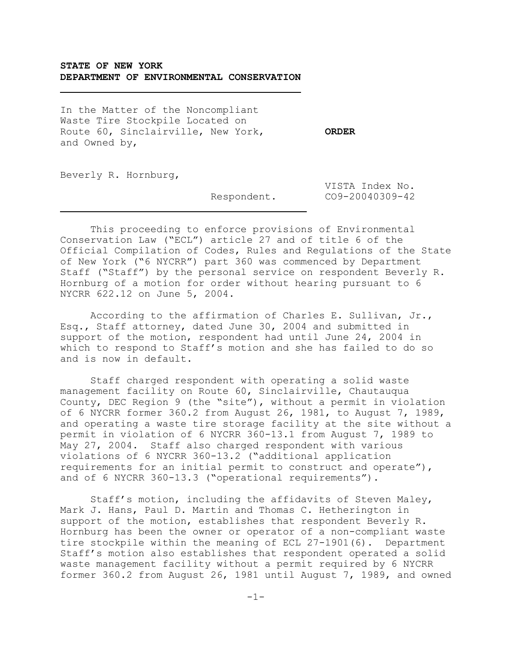# **STATE OF NEW YORK DEPARTMENT OF ENVIRONMENTAL CONSERVATION**

In the Matter of the Noncompliant Waste Tire Stockpile Located on Route 60, Sinclairville, New York, **ORDER** and Owned by,

Beverly R. Hornburg,

j.

 $\overline{\phantom{0}}$ 

 VISTA Index No. Respondent. CO9-20040309-42

This proceeding to enforce provisions of Environmental Conservation Law ("ECL") article 27 and of title 6 of the Official Compilation of Codes, Rules and Regulations of the State of New York ("6 NYCRR") part 360 was commenced by Department Staff ("Staff") by the personal service on respondent Beverly R. Hornburg of a motion for order without hearing pursuant to 6 NYCRR 622.12 on June 5, 2004.

According to the affirmation of Charles E. Sullivan, Jr., Esq., Staff attorney, dated June 30, 2004 and submitted in support of the motion, respondent had until June 24, 2004 in which to respond to Staff's motion and she has failed to do so and is now in default.

Staff charged respondent with operating a solid waste management facility on Route 60, Sinclairville, Chautauqua County, DEC Region 9 (the "site"), without a permit in violation of 6 NYCRR former 360.2 from August 26, 1981, to August 7, 1989, and operating a waste tire storage facility at the site without a permit in violation of 6 NYCRR 360-13.1 from August 7, 1989 to May 27, 2004. Staff also charged respondent with various violations of 6 NYCRR 360-13.2 ("additional application requirements for an initial permit to construct and operate"), and of 6 NYCRR 360-13.3 ("operational requirements").

Staff's motion, including the affidavits of Steven Maley, Mark J. Hans, Paul D. Martin and Thomas C. Hetherington in support of the motion, establishes that respondent Beverly R. Hornburg has been the owner or operator of a non-compliant waste tire stockpile within the meaning of ECL 27-1901(6). Department Staff's motion also establishes that respondent operated a solid waste management facility without a permit required by 6 NYCRR former 360.2 from August 26, 1981 until August 7, 1989, and owned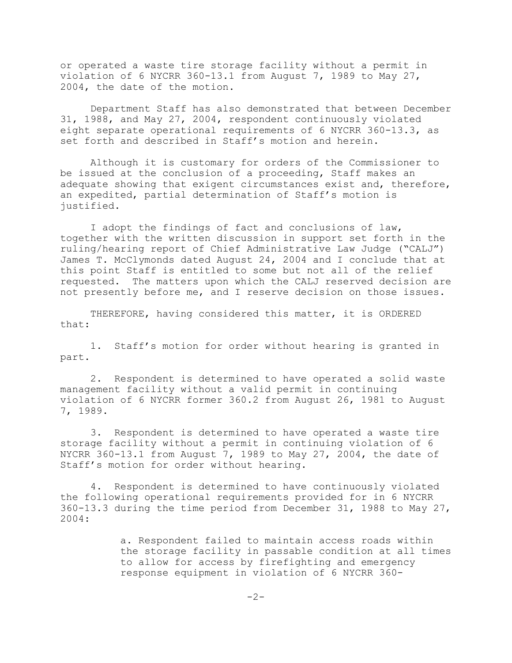or operated a waste tire storage facility without a permit in violation of 6 NYCRR 360-13.1 from August 7, 1989 to May 27, 2004, the date of the motion.

Department Staff has also demonstrated that between December 31, 1988, and May 27, 2004, respondent continuously violated eight separate operational requirements of 6 NYCRR 360-13.3, as set forth and described in Staff's motion and herein.

Although it is customary for orders of the Commissioner to be issued at the conclusion of a proceeding, Staff makes an adequate showing that exigent circumstances exist and, therefore, an expedited, partial determination of Staff's motion is justified.

I adopt the findings of fact and conclusions of law, together with the written discussion in support set forth in the ruling/hearing report of Chief Administrative Law Judge ("CALJ") James T. McClymonds dated August 24, 2004 and I conclude that at this point Staff is entitled to some but not all of the relief requested. The matters upon which the CALJ reserved decision are not presently before me, and I reserve decision on those issues.

THEREFORE, having considered this matter, it is ORDERED that:

1. Staff's motion for order without hearing is granted in part.

2. Respondent is determined to have operated a solid waste management facility without a valid permit in continuing violation of 6 NYCRR former 360.2 from August 26, 1981 to August 7, 1989.

3. Respondent is determined to have operated a waste tire storage facility without a permit in continuing violation of 6 NYCRR 360-13.1 from August 7, 1989 to May 27, 2004, the date of Staff's motion for order without hearing.

4. Respondent is determined to have continuously violated the following operational requirements provided for in 6 NYCRR 360-13.3 during the time period from December 31, 1988 to May 27, 2004:

> a. Respondent failed to maintain access roads within the storage facility in passable condition at all times to allow for access by firefighting and emergency response equipment in violation of 6 NYCRR 360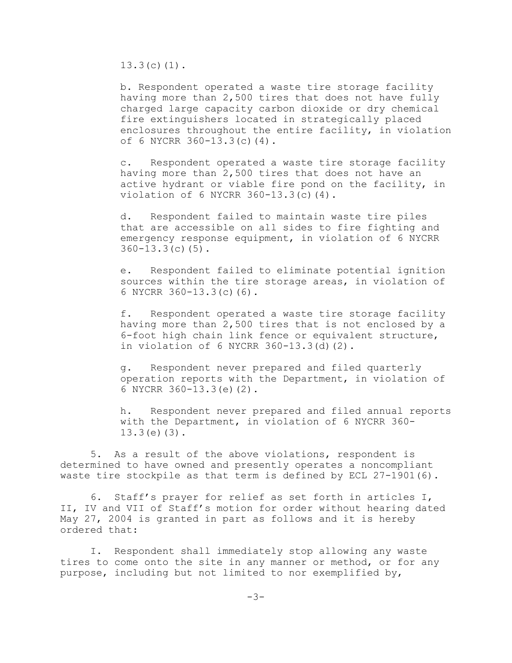13.3(c)(1).

b. Respondent operated a waste tire storage facility having more than 2,500 tires that does not have fully charged large capacity carbon dioxide or dry chemical fire extinguishers located in strategically placed enclosures throughout the entire facility, in violation of 6 NYCRR 360-13.3(c)(4).

c. Respondent operated a waste tire storage facility having more than 2,500 tires that does not have an active hydrant or viable fire pond on the facility, in violation of 6 NYCRR 360-13.3(c)(4).

d. Respondent failed to maintain waste tire piles that are accessible on all sides to fire fighting and emergency response equipment, in violation of 6 NYCRR 360-13.3(c)(5).

e. Respondent failed to eliminate potential ignition sources within the tire storage areas, in violation of 6 NYCRR 360-13.3(c)(6).

f. Respondent operated a waste tire storage facility having more than 2,500 tires that is not enclosed by a 6-foot high chain link fence or equivalent structure, in violation of 6 NYCRR 360-13.3(d)(2).

g. Respondent never prepared and filed quarterly operation reports with the Department, in violation of 6 NYCRR 360-13.3(e)(2).

h. Respondent never prepared and filed annual reports with the Department, in violation of 6 NYCRR 360- 13.3(e)(3).

5. As a result of the above violations, respondent is determined to have owned and presently operates a noncompliant waste tire stockpile as that term is defined by ECL  $27-1901(6)$ .

6. Staff's prayer for relief as set forth in articles I, II, IV and VII of Staff's motion for order without hearing dated May 27, 2004 is granted in part as follows and it is hereby ordered that:

I. Respondent shall immediately stop allowing any waste tires to come onto the site in any manner or method, or for any purpose, including but not limited to nor exemplified by,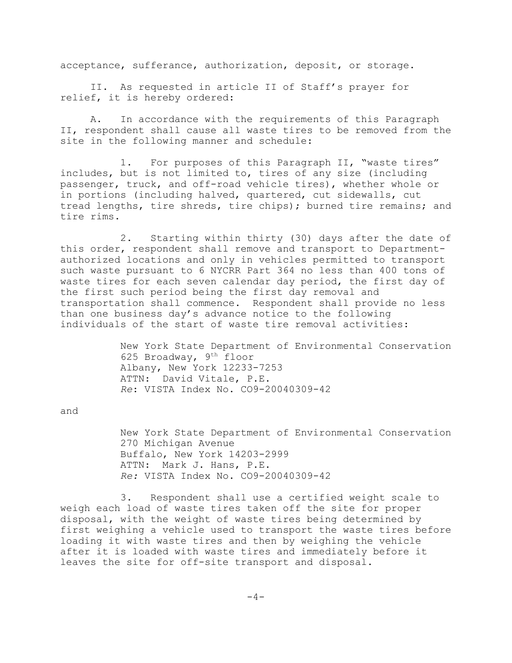acceptance, sufferance, authorization, deposit, or storage.

II. As requested in article II of Staff's prayer for relief, it is hereby ordered:

A. In accordance with the requirements of this Paragraph II, respondent shall cause all waste tires to be removed from the site in the following manner and schedule:

1. For purposes of this Paragraph II, "waste tires" includes, but is not limited to, tires of any size (including passenger, truck, and off-road vehicle tires), whether whole or in portions (including halved, quartered, cut sidewalls, cut tread lengths, tire shreds, tire chips); burned tire remains; and tire rims.

2. Starting within thirty (30) days after the date of this order, respondent shall remove and transport to Departmentauthorized locations and only in vehicles permitted to transport such waste pursuant to 6 NYCRR Part 364 no less than 400 tons of waste tires for each seven calendar day period, the first day of the first such period being the first day removal and transportation shall commence. Respondent shall provide no less than one business day's advance notice to the following individuals of the start of waste tire removal activities:

> New York State Department of Environmental Conservation 625 Broadway, 9th floor Albany, New York 12233-7253 ATTN: David Vitale, P.E. *Re*: VISTA Index No. CO9-20040309-42

and

New York State Department of Environmental Conservation 270 Michigan Avenue Buffalo, New York 14203-2999 ATTN: Mark J. Hans, P.E. *Re:* VISTA Index No. CO9-20040309-42

3. Respondent shall use a certified weight scale to weigh each load of waste tires taken off the site for proper disposal, with the weight of waste tires being determined by first weighing a vehicle used to transport the waste tires before loading it with waste tires and then by weighing the vehicle after it is loaded with waste tires and immediately before it leaves the site for off-site transport and disposal.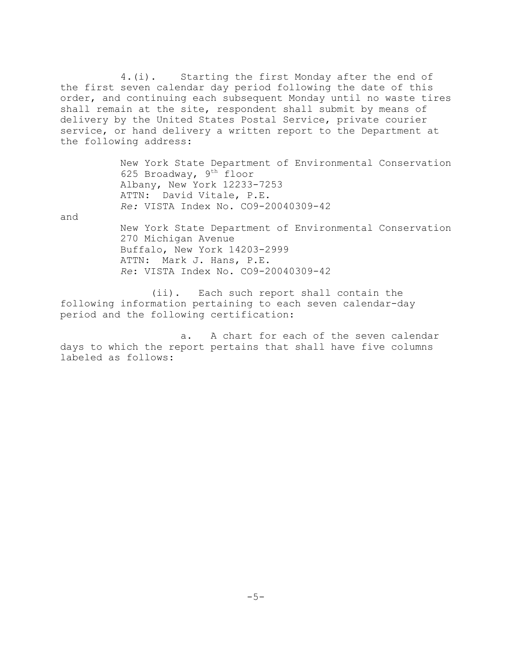4.(i). Starting the first Monday after the end of the first seven calendar day period following the date of this order, and continuing each subsequent Monday until no waste tires shall remain at the site, respondent shall submit by means of delivery by the United States Postal Service, private courier service, or hand delivery a written report to the Department at the following address:

> New York State Department of Environmental Conservation 625 Broadway, 9th floor Albany, New York 12233-7253 ATTN: David Vitale, P.E. *Re:* VISTA Index No. CO9-20040309-42

and

New York State Department of Environmental Conservation 270 Michigan Avenue Buffalo, New York 14203-2999 ATTN: Mark J. Hans, P.E. *Re*: VISTA Index No. CO9-20040309-42

(ii). Each such report shall contain the following information pertaining to each seven calendar-day period and the following certification:

a. A chart for each of the seven calendar days to which the report pertains that shall have five columns labeled as follows: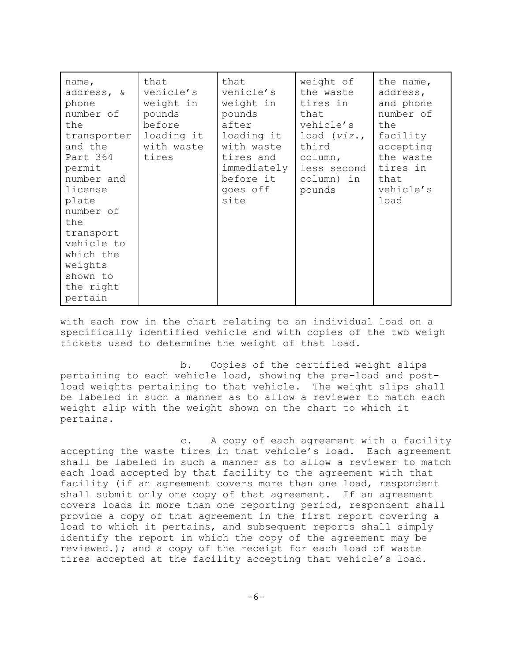| name,<br>address, &<br>phone<br>number of<br>the<br>transporter<br>and the<br>Part 364<br>permit<br>number and<br>license<br>plate<br>number of<br>the<br>transport<br>vehicle to<br>which the<br>weights<br>shown to<br>the right | that<br>vehicle's<br>weight in<br>pounds<br>before<br>loading it<br>with waste<br>tires | that<br>vehicle's<br>weight in<br>pounds<br>after<br>loading it<br>with waste<br>tires and<br>immediately<br>before it<br>goes off<br>site | weight of<br>the waste<br>tires in<br>that<br>vehicle's<br>load $(viz.,$<br>third<br>column,<br>less second<br>column) in<br>pounds | the name,<br>address,<br>and phone<br>number of<br>the<br>facility<br>accepting<br>the waste<br>tires in<br>that<br>vehicle's<br>load |
|------------------------------------------------------------------------------------------------------------------------------------------------------------------------------------------------------------------------------------|-----------------------------------------------------------------------------------------|--------------------------------------------------------------------------------------------------------------------------------------------|-------------------------------------------------------------------------------------------------------------------------------------|---------------------------------------------------------------------------------------------------------------------------------------|
| pertain                                                                                                                                                                                                                            |                                                                                         |                                                                                                                                            |                                                                                                                                     |                                                                                                                                       |

with each row in the chart relating to an individual load on a specifically identified vehicle and with copies of the two weigh tickets used to determine the weight of that load.

b. Copies of the certified weight slips pertaining to each vehicle load, showing the pre-load and postload weights pertaining to that vehicle. The weight slips shall be labeled in such a manner as to allow a reviewer to match each weight slip with the weight shown on the chart to which it pertains.

c. A copy of each agreement with a facility accepting the waste tires in that vehicle's load. Each agreement shall be labeled in such a manner as to allow a reviewer to match each load accepted by that facility to the agreement with that facility (if an agreement covers more than one load, respondent shall submit only one copy of that agreement. If an agreement covers loads in more than one reporting period, respondent shall provide a copy of that agreement in the first report covering a load to which it pertains, and subsequent reports shall simply identify the report in which the copy of the agreement may be reviewed.); and a copy of the receipt for each load of waste tires accepted at the facility accepting that vehicle's load.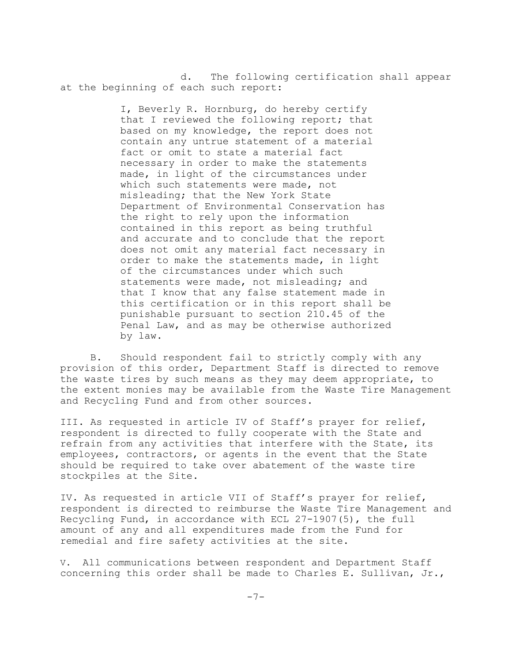d. The following certification shall appear at the beginning of each such report:

> I, Beverly R. Hornburg, do hereby certify that I reviewed the following report; that based on my knowledge, the report does not contain any untrue statement of a material fact or omit to state a material fact necessary in order to make the statements made, in light of the circumstances under which such statements were made, not misleading; that the New York State Department of Environmental Conservation has the right to rely upon the information contained in this report as being truthful and accurate and to conclude that the report does not omit any material fact necessary in order to make the statements made, in light of the circumstances under which such statements were made, not misleading; and that I know that any false statement made in this certification or in this report shall be punishable pursuant to section 210.45 of the Penal Law, and as may be otherwise authorized by law.

B. Should respondent fail to strictly comply with any provision of this order, Department Staff is directed to remove the waste tires by such means as they may deem appropriate, to the extent monies may be available from the Waste Tire Management and Recycling Fund and from other sources.

III. As requested in article IV of Staff's prayer for relief, respondent is directed to fully cooperate with the State and refrain from any activities that interfere with the State, its employees, contractors, or agents in the event that the State should be required to take over abatement of the waste tire stockpiles at the Site.

IV. As requested in article VII of Staff's prayer for relief, respondent is directed to reimburse the Waste Tire Management and Recycling Fund, in accordance with ECL 27-1907(5), the full amount of any and all expenditures made from the Fund for remedial and fire safety activities at the site.

V. All communications between respondent and Department Staff concerning this order shall be made to Charles E. Sullivan, Jr.,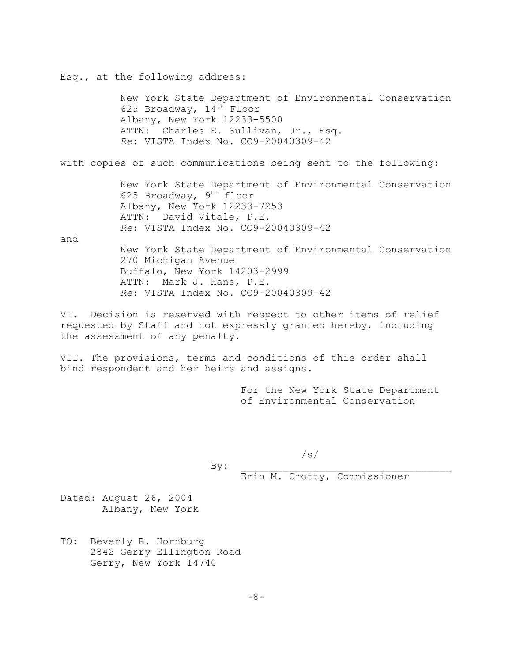Esq., at the following address: New York State Department of Environmental Conservation 625 Broadway,  $14<sup>th</sup>$  Floor Albany, New York 12233-5500 ATTN: Charles E. Sullivan, Jr., Esq. *Re*: VISTA Index No. CO9-20040309-42 with copies of such communications being sent to the following: New York State Department of Environmental Conservation 625 Broadway, 9th floor Albany, New York 12233-7253 ATTN: David Vitale, P.E. *Re*: VISTA Index No. CO9-20040309-42 and New York State Department of Environmental Conservation 270 Michigan Avenue Buffalo, New York 14203-2999 ATTN: Mark J. Hans, P.E. *Re*: VISTA Index No. CO9-20040309-42

VI. Decision is reserved with respect to other items of relief requested by Staff and not expressly granted hereby, including the assessment of any penalty.

VII. The provisions, terms and conditions of this order shall bind respondent and her heirs and assigns.

> For the New York State Department of Environmental Conservation

 $\texttt{By:}\quad$ 

/s/

Erin M. Crotty, Commissioner

Dated: August 26, 2004 Albany, New York

TO: Beverly R. Hornburg 2842 Gerry Ellington Road Gerry, New York 14740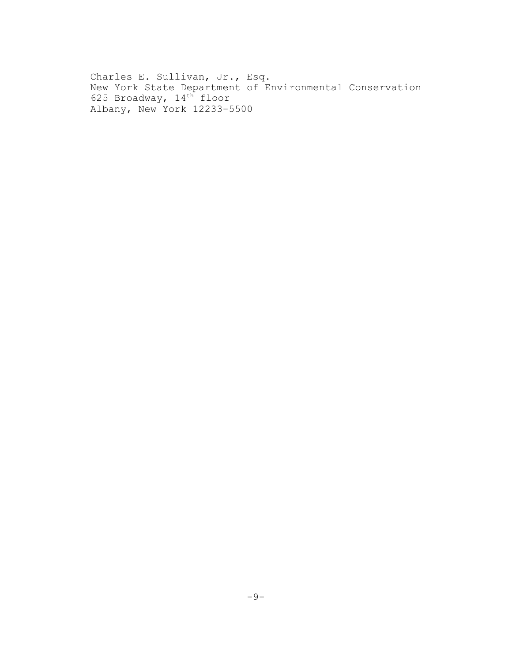Charles E. Sullivan, Jr., Esq. New York State Department of Environmental Conservation 625 Broadway, 14<sup>th</sup> floor Albany, New York 12233-5500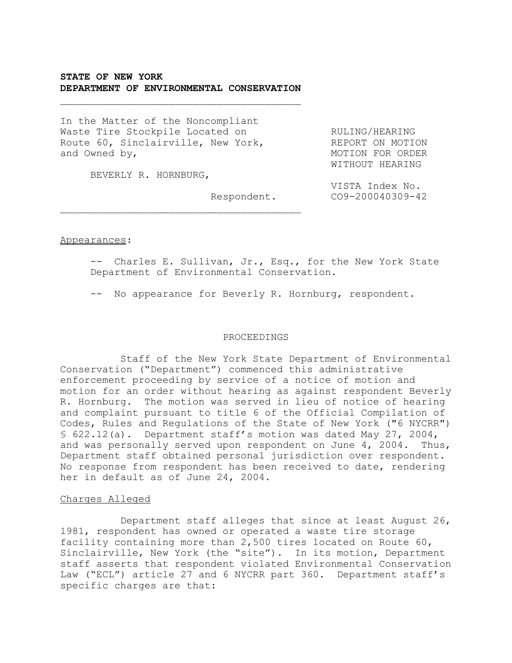# **STATE OF NEW YORK DEPARTMENT OF ENVIRONMENTAL CONSERVATION**

 $\overline{\phantom{a}}$  , and the set of the set of the set of the set of the set of the set of the set of the set of the set of the set of the set of the set of the set of the set of the set of the set of the set of the set of the s

 $\overline{\phantom{a}}$  , and the set of the set of the set of the set of the set of the set of the set of the set of the set of the set of the set of the set of the set of the set of the set of the set of the set of the set of the s

In the Matter of the Noncompliant Waste Tire Stockpile Located on THORING/HEARING Route 60, Sinclairville, New York, REPORT ON MOTION<br>and Owned by, New York, New MOTION FOR ORDER

BEVERLY R. HORNBURG,

MOTION FOR ORDER WITHOUT HEARING

VISTA Index No. Respondent. CO9-200040309-42

#### Appearances:

-- Charles E. Sullivan, Jr., Esq., for the New York State Department of Environmental Conservation.

-- No appearance for Beverly R. Hornburg, respondent.

#### PROCEEDINGS

Staff of the New York State Department of Environmental Conservation ("Department") commenced this administrative enforcement proceeding by service of a notice of motion and motion for an order without hearing as against respondent Beverly R. Hornburg. The motion was served in lieu of notice of hearing and complaint pursuant to title 6 of the Official Compilation of Codes, Rules and Regulations of the State of New York ("6 NYCRR") § 622.12(a). Department staff's motion was dated May 27, 2004, and was personally served upon respondent on June 4, 2004. Thus, Department staff obtained personal jurisdiction over respondent. No response from respondent has been received to date, rendering her in default as of June 24, 2004.

## Charges Alleged

Department staff alleges that since at least August 26, 1981, respondent has owned or operated a waste tire storage facility containing more than 2,500 tires located on Route 60, Sinclairville, New York (the "site"). In its motion, Department staff asserts that respondent violated Environmental Conservation Law ("ECL") article 27 and 6 NYCRR part 360. Department staff's specific charges are that: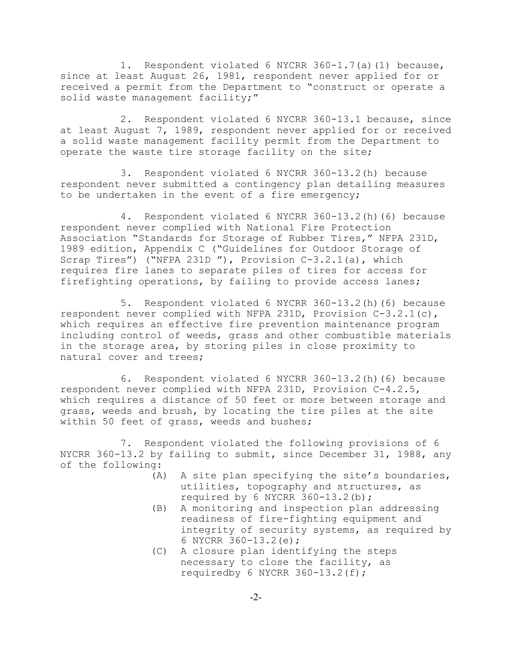1. Respondent violated 6 NYCRR 360-1.7(a)(1) because, since at least August 26, 1981, respondent never applied for or received a permit from the Department to "construct or operate a solid waste management facility;"

2. Respondent violated 6 NYCRR 360-13.1 because, since at least August 7, 1989, respondent never applied for or received a solid waste management facility permit from the Department to operate the waste tire storage facility on the site;

3. Respondent violated 6 NYCRR 360-13.2(h) because respondent never submitted a contingency plan detailing measures to be undertaken in the event of a fire emergency;

4. Respondent violated 6 NYCRR 360-13.2(h)(6) because respondent never complied with National Fire Protection Association "Standards for Storage of Rubber Tires," NFPA 231D, 1989 edition, Appendix C ("Guidelines for Outdoor Storage of Scrap Tires") ("NFPA 231D "), Provision C-3.2.1(a), which requires fire lanes to separate piles of tires for access for firefighting operations, by failing to provide access lanes;

5. Respondent violated 6 NYCRR 360-13.2(h)(6) because respondent never complied with NFPA 231D, Provision C-3.2.1(c), which requires an effective fire prevention maintenance program including control of weeds, grass and other combustible materials in the storage area, by storing piles in close proximity to natural cover and trees;

6. Respondent violated 6 NYCRR 360-13.2(h)(6) because respondent never complied with NFPA 231D, Provision C-4.2.5, which requires a distance of 50 feet or more between storage and grass, weeds and brush, by locating the tire piles at the site within 50 feet of grass, weeds and bushes;

7. Respondent violated the following provisions of 6 NYCRR 360-13.2 by failing to submit, since December 31, 1988, any of the following:

- (A) A site plan specifying the site's boundaries, utilities, topography and structures, as required by 6 NYCRR 360-13.2(b);
- (B) A monitoring and inspection plan addressing readiness of fire-fighting equipment and integrity of security systems, as required by 6 NYCRR 360-13.2(e);
- (C) A closure plan identifying the steps necessary to close the facility, as requiredby 6 NYCRR 360-13.2(f);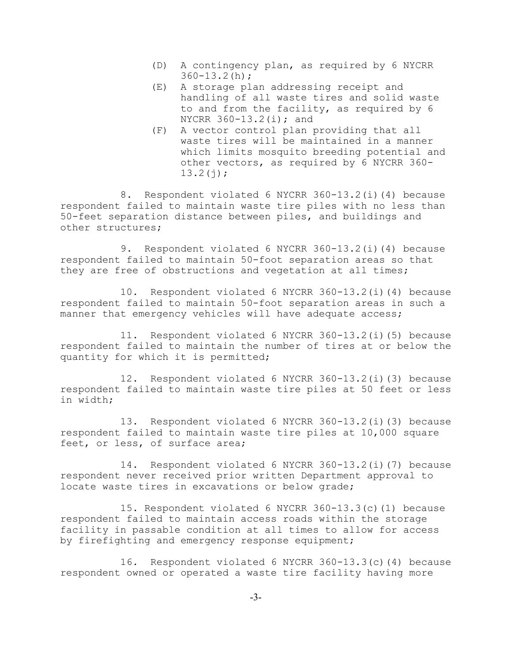- (D) A contingency plan, as required by 6 NYCRR  $360 - 13.2(h);$
- (E) A storage plan addressing receipt and handling of all waste tires and solid waste to and from the facility, as required by 6 NYCRR 360-13.2(i); and
- (F) A vector control plan providing that all waste tires will be maintained in a manner which limits mosquito breeding potential and other vectors, as required by 6 NYCRR 360-  $13.2(j);$

8. Respondent violated 6 NYCRR 360-13.2(i)(4) because respondent failed to maintain waste tire piles with no less than 50-feet separation distance between piles, and buildings and other structures;

9. Respondent violated 6 NYCRR 360-13.2(i)(4) because respondent failed to maintain 50-foot separation areas so that they are free of obstructions and vegetation at all times;

10. Respondent violated 6 NYCRR 360-13.2(i)(4) because respondent failed to maintain 50-foot separation areas in such a manner that emergency vehicles will have adequate access;

11. Respondent violated 6 NYCRR 360-13.2(i)(5) because respondent failed to maintain the number of tires at or below the quantity for which it is permitted;

12. Respondent violated 6 NYCRR 360-13.2(i)(3) because respondent failed to maintain waste tire piles at 50 feet or less in width;

13. Respondent violated 6 NYCRR 360-13.2(i)(3) because respondent failed to maintain waste tire piles at 10,000 square feet, or less, of surface area;

14. Respondent violated 6 NYCRR 360-13.2(i)(7) because respondent never received prior written Department approval to locate waste tires in excavations or below grade;

15. Respondent violated 6 NYCRR 360-13.3(c)(1) because respondent failed to maintain access roads within the storage facility in passable condition at all times to allow for access by firefighting and emergency response equipment;

16. Respondent violated 6 NYCRR 360-13.3(c)(4) because respondent owned or operated a waste tire facility having more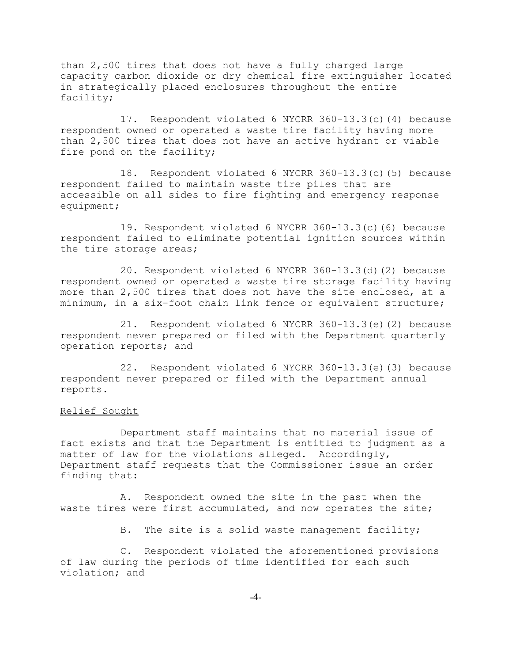than 2,500 tires that does not have a fully charged large capacity carbon dioxide or dry chemical fire extinguisher located in strategically placed enclosures throughout the entire facility;

17. Respondent violated 6 NYCRR 360-13.3(c)(4) because respondent owned or operated a waste tire facility having more than 2,500 tires that does not have an active hydrant or viable fire pond on the facility;

18. Respondent violated 6 NYCRR 360-13.3(c)(5) because respondent failed to maintain waste tire piles that are accessible on all sides to fire fighting and emergency response equipment;

19. Respondent violated 6 NYCRR 360-13.3(c)(6) because respondent failed to eliminate potential ignition sources within the tire storage areas;

20. Respondent violated 6 NYCRR 360-13.3(d)(2) because respondent owned or operated a waste tire storage facility having more than 2,500 tires that does not have the site enclosed, at a minimum, in a six-foot chain link fence or equivalent structure;

21. Respondent violated 6 NYCRR 360-13.3(e)(2) because respondent never prepared or filed with the Department quarterly operation reports; and

22. Respondent violated 6 NYCRR 360-13.3(e)(3) because respondent never prepared or filed with the Department annual reports.

### Relief Sought

Department staff maintains that no material issue of fact exists and that the Department is entitled to judgment as a matter of law for the violations alleged. Accordingly, Department staff requests that the Commissioner issue an order finding that:

A. Respondent owned the site in the past when the waste tires were first accumulated, and now operates the site;

B. The site is a solid waste management facility;

C. Respondent violated the aforementioned provisions of law during the periods of time identified for each such violation; and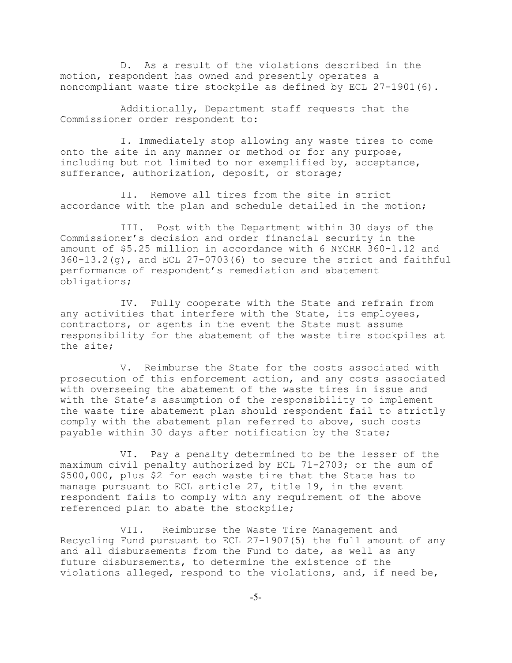D. As a result of the violations described in the motion, respondent has owned and presently operates a noncompliant waste tire stockpile as defined by ECL 27-1901(6).

Additionally, Department staff requests that the Commissioner order respondent to:

I. Immediately stop allowing any waste tires to come onto the site in any manner or method or for any purpose, including but not limited to nor exemplified by, acceptance, sufferance, authorization, deposit, or storage;

II. Remove all tires from the site in strict accordance with the plan and schedule detailed in the motion;

III. Post with the Department within 30 days of the Commissioner's decision and order financial security in the amount of \$5.25 million in accordance with 6 NYCRR 360-1.12 and  $360-13.2(q)$ , and ECL  $27-0703(6)$  to secure the strict and faithful performance of respondent's remediation and abatement obligations;

IV. Fully cooperate with the State and refrain from any activities that interfere with the State, its employees, contractors, or agents in the event the State must assume responsibility for the abatement of the waste tire stockpiles at the site;

V. Reimburse the State for the costs associated with prosecution of this enforcement action, and any costs associated with overseeing the abatement of the waste tires in issue and with the State's assumption of the responsibility to implement the waste tire abatement plan should respondent fail to strictly comply with the abatement plan referred to above, such costs payable within 30 days after notification by the State;

VI. Pay a penalty determined to be the lesser of the maximum civil penalty authorized by ECL 71-2703; or the sum of \$500,000, plus \$2 for each waste tire that the State has to manage pursuant to ECL article 27, title 19, in the event respondent fails to comply with any requirement of the above referenced plan to abate the stockpile;

VII. Reimburse the Waste Tire Management and Recycling Fund pursuant to ECL 27-1907(5) the full amount of any and all disbursements from the Fund to date, as well as any future disbursements, to determine the existence of the violations alleged, respond to the violations, and, if need be,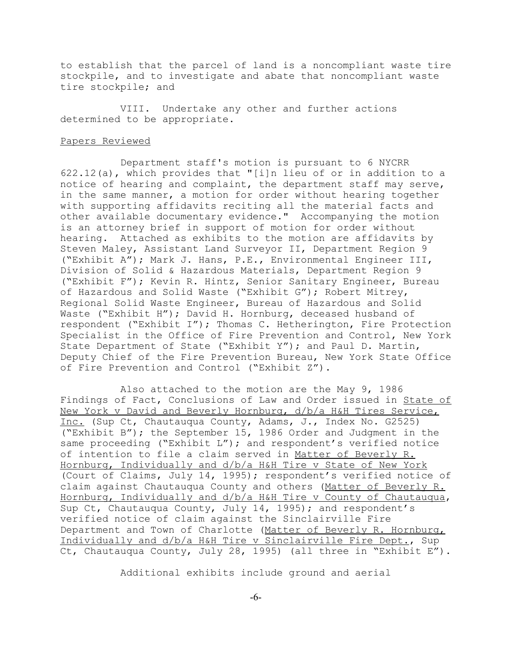to establish that the parcel of land is a noncompliant waste tire stockpile, and to investigate and abate that noncompliant waste tire stockpile; and

VIII. Undertake any other and further actions determined to be appropriate.

#### Papers Reviewed

Department staff's motion is pursuant to 6 NYCRR 622.12(a), which provides that "[i]n lieu of or in addition to a notice of hearing and complaint, the department staff may serve, in the same manner, a motion for order without hearing together with supporting affidavits reciting all the material facts and other available documentary evidence." Accompanying the motion is an attorney brief in support of motion for order without hearing. Attached as exhibits to the motion are affidavits by Steven Maley, Assistant Land Surveyor II, Department Region 9 ("Exhibit A"); Mark J. Hans, P.E., Environmental Engineer III, Division of Solid & Hazardous Materials, Department Region 9 ("Exhibit F"); Kevin R. Hintz, Senior Sanitary Engineer, Bureau of Hazardous and Solid Waste ("Exhibit G"); Robert Mitrey, Regional Solid Waste Engineer, Bureau of Hazardous and Solid Waste ("Exhibit H"); David H. Hornburg, deceased husband of respondent ("Exhibit I"); Thomas C. Hetherington, Fire Protection Specialist in the Office of Fire Prevention and Control, New York State Department of State ("Exhibit Y"); and Paul D. Martin, Deputy Chief of the Fire Prevention Bureau, New York State Office of Fire Prevention and Control ("Exhibit Z").

Also attached to the motion are the May 9, 1986 Findings of Fact, Conclusions of Law and Order issued in State of New York v David and Beverly Hornburg, d/b/a H&H Tires Service, Inc. (Sup Ct, Chautauqua County, Adams, J., Index No. G2525) ("Exhibit B"); the September 15, 1986 Order and Judgment in the same proceeding ("Exhibit L"); and respondent's verified notice of intention to file a claim served in Matter of Beverly R. Hornburg, Individually and d/b/a H&H Tire v State of New York (Court of Claims, July 14, 1995); respondent's verified notice of claim against Chautauqua County and others (Matter of Beverly R. Hornburg, Individually and d/b/a H&H Tire v County of Chautauqua, Sup Ct, Chautauqua County, July 14, 1995); and respondent's verified notice of claim against the Sinclairville Fire Department and Town of Charlotte (Matter of Beverly R. Hornburg, Individually and d/b/a H&H Tire v Sinclairville Fire Dept., Sup Ct, Chautauqua County, July 28, 1995) (all three in "Exhibit E").

Additional exhibits include ground and aerial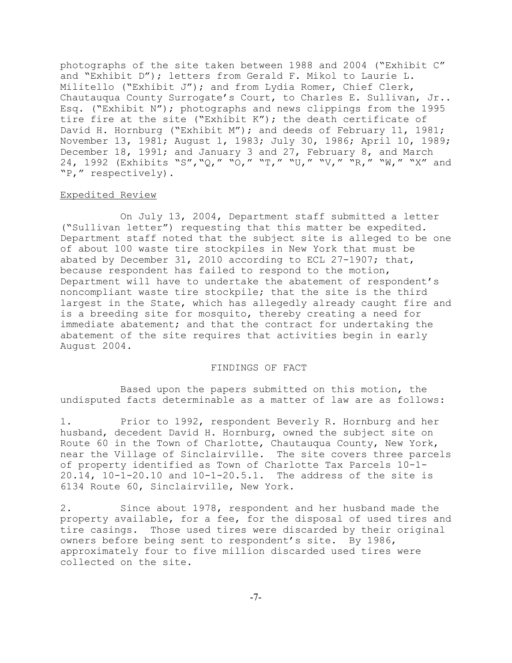photographs of the site taken between 1988 and 2004 ("Exhibit C" and "Exhibit D"); letters from Gerald F. Mikol to Laurie L. Militello ("Exhibit J"); and from Lydia Romer, Chief Clerk, Chautauqua County Surrogate's Court, to Charles E. Sullivan, Jr.. Esq. ("Exhibit N"); photographs and news clippings from the 1995 tire fire at the site ("Exhibit K"); the death certificate of David H. Hornburg ("Exhibit M"); and deeds of February 11, 1981; November 13, 1981; August 1, 1983; July 30, 1986; April 10, 1989; December 18, 1991; and January 3 and 27, February 8, and March 24, 1992 (Exhibits "S","Q," "O," "T," "U," "V," "R," "W," "X" and "P," respectively).

#### Expedited Review

On July 13, 2004, Department staff submitted a letter ("Sullivan letter") requesting that this matter be expedited. Department staff noted that the subject site is alleged to be one of about 100 waste tire stockpiles in New York that must be abated by December 31, 2010 according to ECL 27-1907; that, because respondent has failed to respond to the motion, Department will have to undertake the abatement of respondent's noncompliant waste tire stockpile; that the site is the third largest in the State, which has allegedly already caught fire and is a breeding site for mosquito, thereby creating a need for immediate abatement; and that the contract for undertaking the abatement of the site requires that activities begin in early August 2004.

### FINDINGS OF FACT

Based upon the papers submitted on this motion, the undisputed facts determinable as a matter of law are as follows:

1. Prior to 1992, respondent Beverly R. Hornburg and her husband, decedent David H. Hornburg, owned the subject site on Route 60 in the Town of Charlotte, Chautauqua County, New York, near the Village of Sinclairville. The site covers three parcels of property identified as Town of Charlotte Tax Parcels 10-1- 20.14, 10-1-20.10 and 10-1-20.5.1. The address of the site is 6134 Route 60, Sinclairville, New York.

2. Since about 1978, respondent and her husband made the property available, for a fee, for the disposal of used tires and tire casings. Those used tires were discarded by their original owners before being sent to respondent's site. By 1986, approximately four to five million discarded used tires were collected on the site.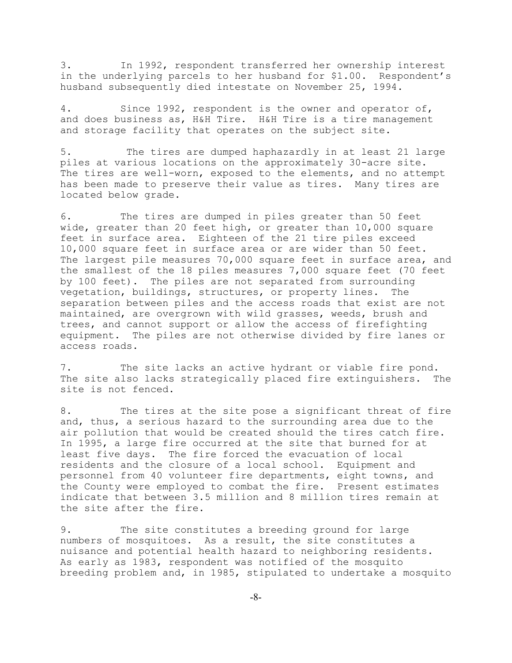3. In 1992, respondent transferred her ownership interest in the underlying parcels to her husband for \$1.00. Respondent's husband subsequently died intestate on November 25, 1994.

4. Since 1992, respondent is the owner and operator of, and does business as, H&H Tire. H&H Tire is a tire management and storage facility that operates on the subject site.

5. The tires are dumped haphazardly in at least 21 large piles at various locations on the approximately 30-acre site. The tires are well-worn, exposed to the elements, and no attempt has been made to preserve their value as tires. Many tires are located below grade.

6. The tires are dumped in piles greater than 50 feet wide, greater than 20 feet high, or greater than 10,000 square feet in surface area. Eighteen of the 21 tire piles exceed 10,000 square feet in surface area or are wider than 50 feet. The largest pile measures 70,000 square feet in surface area, and the smallest of the 18 piles measures 7,000 square feet (70 feet by 100 feet). The piles are not separated from surrounding vegetation, buildings, structures, or property lines. The separation between piles and the access roads that exist are not maintained, are overgrown with wild grasses, weeds, brush and trees, and cannot support or allow the access of firefighting equipment. The piles are not otherwise divided by fire lanes or access roads.

7. The site lacks an active hydrant or viable fire pond. The site also lacks strategically placed fire extinguishers. The site is not fenced.

8. The tires at the site pose a significant threat of fire and, thus, a serious hazard to the surrounding area due to the air pollution that would be created should the tires catch fire. In 1995, a large fire occurred at the site that burned for at least five days. The fire forced the evacuation of local residents and the closure of a local school. Equipment and personnel from 40 volunteer fire departments, eight towns, and the County were employed to combat the fire. Present estimates indicate that between 3.5 million and 8 million tires remain at the site after the fire.

9. The site constitutes a breeding ground for large numbers of mosquitoes. As a result, the site constitutes a nuisance and potential health hazard to neighboring residents. As early as 1983, respondent was notified of the mosquito breeding problem and, in 1985, stipulated to undertake a mosquito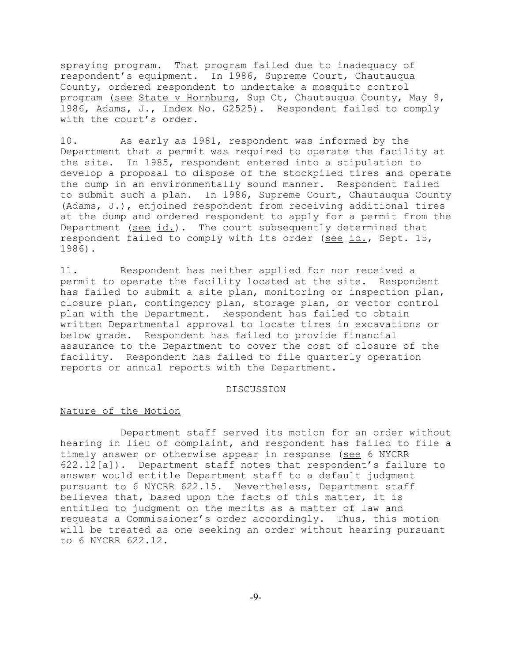spraying program. That program failed due to inadequacy of respondent's equipment. In 1986, Supreme Court, Chautauqua County, ordered respondent to undertake a mosquito control program (see State v Hornburg, Sup Ct, Chautauqua County, May 9, 1986, Adams, J., Index No. G2525). Respondent failed to comply with the court's order.

10. As early as 1981, respondent was informed by the Department that a permit was required to operate the facility at the site. In 1985, respondent entered into a stipulation to develop a proposal to dispose of the stockpiled tires and operate the dump in an environmentally sound manner. Respondent failed to submit such a plan. In 1986, Supreme Court, Chautauqua County (Adams, J.), enjoined respondent from receiving additional tires at the dump and ordered respondent to apply for a permit from the Department (see id.). The court subsequently determined that respondent failed to comply with its order (see id., Sept. 15, 1986).

11. Respondent has neither applied for nor received a permit to operate the facility located at the site. Respondent has failed to submit a site plan, monitoring or inspection plan, closure plan, contingency plan, storage plan, or vector control plan with the Department. Respondent has failed to obtain written Departmental approval to locate tires in excavations or below grade. Respondent has failed to provide financial assurance to the Department to cover the cost of closure of the facility. Respondent has failed to file quarterly operation reports or annual reports with the Department.

#### DISCUSSION

## Nature of the Motion

Department staff served its motion for an order without hearing in lieu of complaint, and respondent has failed to file a timely answer or otherwise appear in response (see 6 NYCRR 622.12[a]). Department staff notes that respondent's failure to answer would entitle Department staff to a default judgment pursuant to 6 NYCRR 622.15. Nevertheless, Department staff believes that, based upon the facts of this matter, it is entitled to judgment on the merits as a matter of law and requests a Commissioner's order accordingly. Thus, this motion will be treated as one seeking an order without hearing pursuant to 6 NYCRR 622.12.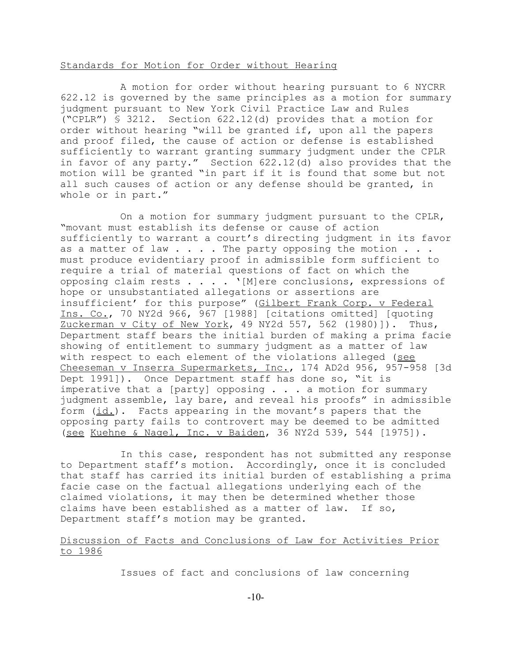# Standards for Motion for Order without Hearing

A motion for order without hearing pursuant to 6 NYCRR 622.12 is governed by the same principles as a motion for summary judgment pursuant to New York Civil Practice Law and Rules ("CPLR") § 3212. Section 622.12(d) provides that a motion for order without hearing "will be granted if, upon all the papers and proof filed, the cause of action or defense is established sufficiently to warrant granting summary judgment under the CPLR in favor of any party." Section 622.12(d) also provides that the motion will be granted "in part if it is found that some but not all such causes of action or any defense should be granted, in whole or in part."

On a motion for summary judgment pursuant to the CPLR, "movant must establish its defense or cause of action sufficiently to warrant a court's directing judgment in its favor as a matter of law  $\ldots$ . The party opposing the motion  $\ldots$ . must produce evidentiary proof in admissible form sufficient to require a trial of material questions of fact on which the opposing claim rests . . . . '[M]ere conclusions, expressions of hope or unsubstantiated allegations or assertions are insufficient' for this purpose" (Gilbert Frank Corp. v Federal Ins. Co., 70 NY2d 966, 967 [1988] [citations omitted] [quoting Zuckerman v City of New York, 49 NY2d 557, 562 (1980)]). Thus, Department staff bears the initial burden of making a prima facie showing of entitlement to summary judgment as a matter of law with respect to each element of the violations alleged (see Cheeseman v Inserra Supermarkets, Inc., 174 AD2d 956, 957-958 [3d Dept 1991]). Once Department staff has done so, "it is imperative that a [party] opposing  $\ldots$  a motion for summary judgment assemble, lay bare, and reveal his proofs" in admissible form  $(id.)$ . Facts appearing in the movant's papers that the opposing party fails to controvert may be deemed to be admitted (see Kuehne & Nagel, Inc. v Baiden, 36 NY2d 539, 544 [1975]).

In this case, respondent has not submitted any response to Department staff's motion. Accordingly, once it is concluded that staff has carried its initial burden of establishing a prima facie case on the factual allegations underlying each of the claimed violations, it may then be determined whether those claims have been established as a matter of law. If so, Department staff's motion may be granted.

# Discussion of Facts and Conclusions of Law for Activities Prior to 1986

Issues of fact and conclusions of law concerning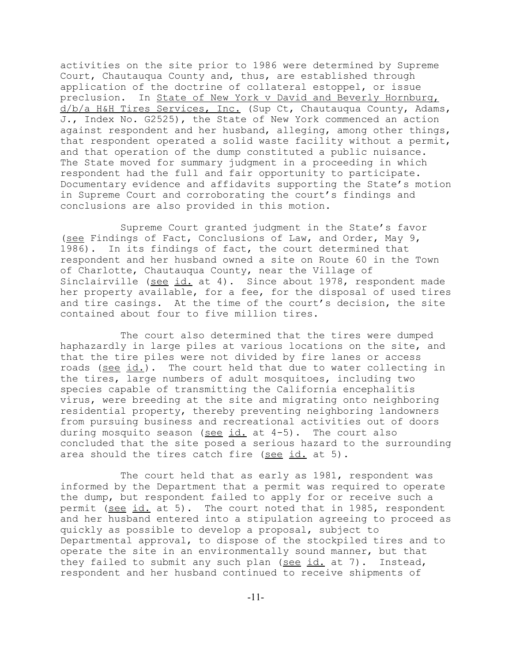activities on the site prior to 1986 were determined by Supreme Court, Chautauqua County and, thus, are established through application of the doctrine of collateral estoppel, or issue preclusion. In State of New York v David and Beverly Hornburg, d/b/a H&H Tires Services, Inc. (Sup Ct, Chautauqua County, Adams, J., Index No. G2525), the State of New York commenced an action against respondent and her husband, alleging, among other things, that respondent operated a solid waste facility without a permit, and that operation of the dump constituted a public nuisance. The State moved for summary judgment in a proceeding in which respondent had the full and fair opportunity to participate. Documentary evidence and affidavits supporting the State's motion in Supreme Court and corroborating the court's findings and conclusions are also provided in this motion.

Supreme Court granted judgment in the State's favor (see Findings of Fact, Conclusions of Law, and Order, May 9, 1986). In its findings of fact, the court determined that respondent and her husband owned a site on Route 60 in the Town of Charlotte, Chautauqua County, near the Village of Sinclairville (see id. at 4). Since about 1978, respondent made her property available, for a fee, for the disposal of used tires and tire casings. At the time of the court's decision, the site contained about four to five million tires.

The court also determined that the tires were dumped haphazardly in large piles at various locations on the site, and that the tire piles were not divided by fire lanes or access roads (see id.). The court held that due to water collecting in the tires, large numbers of adult mosquitoes, including two species capable of transmitting the California encephalitis virus, were breeding at the site and migrating onto neighboring residential property, thereby preventing neighboring landowners from pursuing business and recreational activities out of doors during mosquito season (see id. at  $4-5$ ). The court also concluded that the site posed a serious hazard to the surrounding area should the tires catch fire (see id. at 5).

The court held that as early as 1981, respondent was informed by the Department that a permit was required to operate the dump, but respondent failed to apply for or receive such a permit (see id. at 5). The court noted that in 1985, respondent and her husband entered into a stipulation agreeing to proceed as quickly as possible to develop a proposal, subject to Departmental approval, to dispose of the stockpiled tires and to operate the site in an environmentally sound manner, but that they failed to submit any such plan (see  $id.$  at 7). Instead, respondent and her husband continued to receive shipments of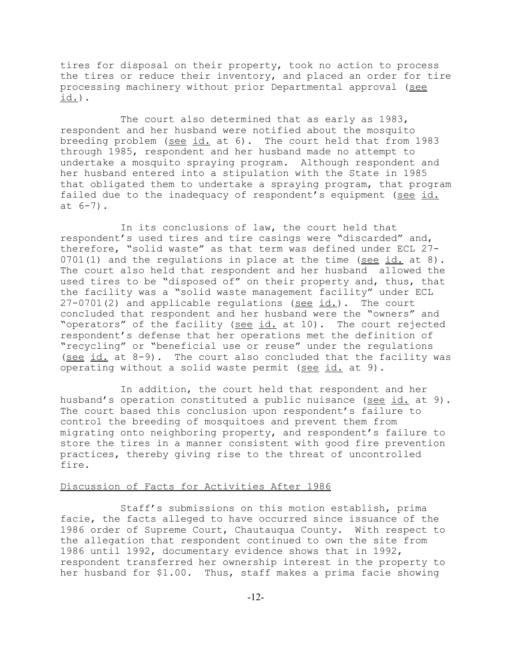tires for disposal on their property, took no action to process the tires or reduce their inventory, and placed an order for tire processing machinery without prior Departmental approval (see id.).

The court also determined that as early as 1983, respondent and her husband were notified about the mosquito breeding problem (see id. at 6). The court held that from 1983 through 1985, respondent and her husband made no attempt to undertake a mosquito spraying program. Although respondent and her husband entered into a stipulation with the State in 1985 that obligated them to undertake a spraying program, that program failed due to the inadequacy of respondent's equipment (see id. at 6-7).

In its conclusions of law, the court held that respondent's used tires and tire casings were "discarded" and, therefore, "solid waste" as that term was defined under ECL 27- 0701(1) and the regulations in place at the time (see id. at 8). The court also held that respondent and her husband allowed the used tires to be "disposed of" on their property and, thus, that the facility was a "solid waste management facility" under ECL  $27-0701(2)$  and applicable regulations (see id.). The court concluded that respondent and her husband were the "owners" and "operators" of the facility (see id. at 10). The court rejected respondent's defense that her operations met the definition of "recycling" or "beneficial use or reuse" under the regulations (see id. at 8-9). The court also concluded that the facility was operating without a solid waste permit (see id. at 9).

In addition, the court held that respondent and her husband's operation constituted a public nuisance (see id. at 9). The court based this conclusion upon respondent's failure to control the breeding of mosquitoes and prevent them from migrating onto neighboring property, and respondent's failure to store the tires in a manner consistent with good fire prevention practices, thereby giving rise to the threat of uncontrolled fire.

### Discussion of Facts for Activities After 1986

Staff's submissions on this motion establish, prima facie, the facts alleged to have occurred since issuance of the 1986 order of Supreme Court, Chautauqua County. With respect to the allegation that respondent continued to own the site from 1986 until 1992, documentary evidence shows that in 1992, respondent transferred her ownership interest in the property to her husband for \$1.00. Thus, staff makes a prima facie showing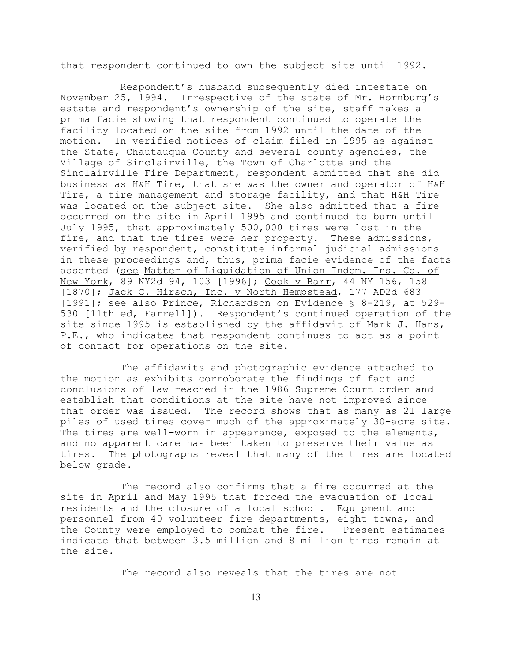that respondent continued to own the subject site until 1992.

Respondent's husband subsequently died intestate on November 25, 1994. Irrespective of the state of Mr. Hornburg's estate and respondent's ownership of the site, staff makes a prima facie showing that respondent continued to operate the facility located on the site from 1992 until the date of the motion. In verified notices of claim filed in 1995 as against the State, Chautauqua County and several county agencies, the Village of Sinclairville, the Town of Charlotte and the Sinclairville Fire Department, respondent admitted that she did business as H&H Tire, that she was the owner and operator of H&H Tire, a tire management and storage facility, and that H&H Tire was located on the subject site. She also admitted that a fire occurred on the site in April 1995 and continued to burn until July 1995, that approximately 500,000 tires were lost in the fire, and that the tires were her property. These admissions, verified by respondent, constitute informal judicial admissions in these proceedings and, thus, prima facie evidence of the facts asserted (see Matter of Liquidation of Union Indem. Ins. Co. of New York, 89 NY2d 94, 103 [1996]; Cook v Barr, 44 NY 156, 158 [1870]; Jack C. Hirsch, Inc. v North Hempstead, 177 AD2d 683 [1991]; see also Prince, Richardson on Evidence § 8-219, at 529- 530 [11th ed, Farrell]). Respondent's continued operation of the site since 1995 is established by the affidavit of Mark J. Hans, P.E., who indicates that respondent continues to act as a point of contact for operations on the site.

The affidavits and photographic evidence attached to the motion as exhibits corroborate the findings of fact and conclusions of law reached in the 1986 Supreme Court order and establish that conditions at the site have not improved since that order was issued. The record shows that as many as 21 large piles of used tires cover much of the approximately 30-acre site. The tires are well-worn in appearance, exposed to the elements, and no apparent care has been taken to preserve their value as tires. The photographs reveal that many of the tires are located below grade.

The record also confirms that a fire occurred at the site in April and May 1995 that forced the evacuation of local residents and the closure of a local school. Equipment and personnel from 40 volunteer fire departments, eight towns, and the County were employed to combat the fire. Present estimates indicate that between 3.5 million and 8 million tires remain at the site.

The record also reveals that the tires are not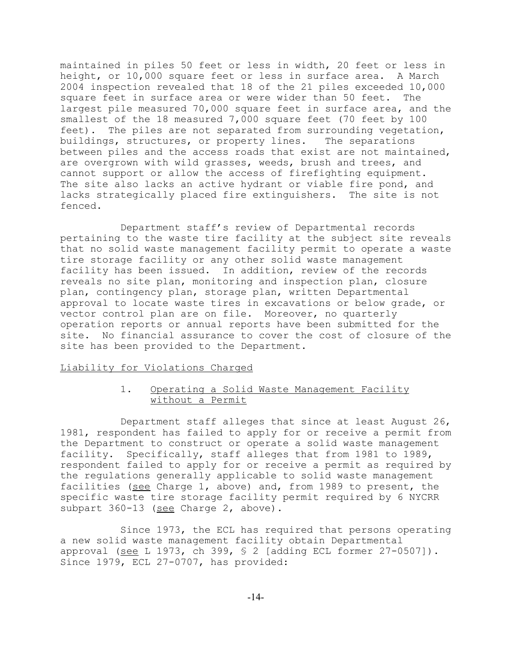maintained in piles 50 feet or less in width, 20 feet or less in height, or 10,000 square feet or less in surface area. A March 2004 inspection revealed that 18 of the 21 piles exceeded 10,000 square feet in surface area or were wider than 50 feet. The largest pile measured 70,000 square feet in surface area, and the smallest of the 18 measured 7,000 square feet (70 feet by 100 feet). The piles are not separated from surrounding vegetation, buildings, structures, or property lines. The separations between piles and the access roads that exist are not maintained, are overgrown with wild grasses, weeds, brush and trees, and cannot support or allow the access of firefighting equipment. The site also lacks an active hydrant or viable fire pond, and lacks strategically placed fire extinguishers. The site is not fenced.

Department staff's review of Departmental records pertaining to the waste tire facility at the subject site reveals that no solid waste management facility permit to operate a waste tire storage facility or any other solid waste management facility has been issued. In addition, review of the records reveals no site plan, monitoring and inspection plan, closure plan, contingency plan, storage plan, written Departmental approval to locate waste tires in excavations or below grade, or vector control plan are on file. Moreover, no quarterly operation reports or annual reports have been submitted for the site. No financial assurance to cover the cost of closure of the site has been provided to the Department.

## Liability for Violations Charged

# 1. Operating a Solid Waste Management Facility without a Permit

Department staff alleges that since at least August 26, 1981, respondent has failed to apply for or receive a permit from the Department to construct or operate a solid waste management facility. Specifically, staff alleges that from 1981 to 1989, respondent failed to apply for or receive a permit as required by the regulations generally applicable to solid waste management facilities (see Charge 1, above) and, from 1989 to present, the specific waste tire storage facility permit required by 6 NYCRR subpart 360-13 (see Charge 2, above).

Since 1973, the ECL has required that persons operating a new solid waste management facility obtain Departmental approval (see L 1973, ch 399,  $\frac{1}{2}$  [adding ECL former 27-0507]). Since 1979, ECL 27-0707, has provided: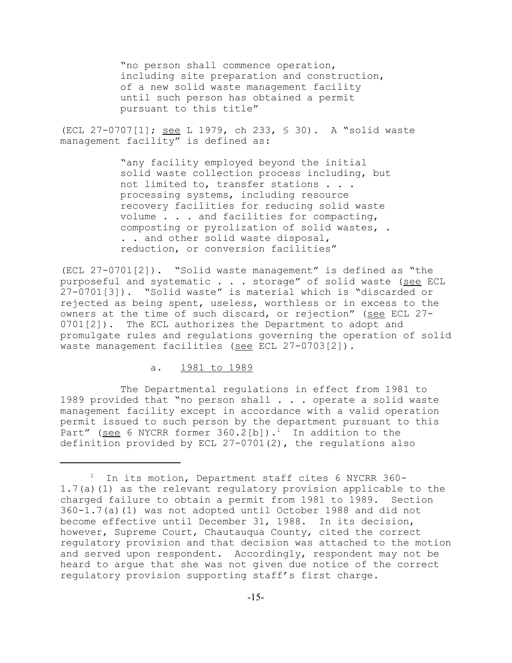"no person shall commence operation, including site preparation and construction, of a new solid waste management facility until such person has obtained a permit pursuant to this title"

(ECL 27-0707[1]; see L 1979, ch 233, § 30). A "solid waste management facility" is defined as:

> "any facility employed beyond the initial solid waste collection process including, but not limited to, transfer stations . . . processing systems, including resource recovery facilities for reducing solid waste volume . . . and facilities for compacting, composting or pyrolization of solid wastes, . . . and other solid waste disposal, reduction, or conversion facilities"

(ECL 27-0701[2]). "Solid waste management" is defined as "the purposeful and systematic . . . storage" of solid waste (see ECL 27-0701[3]). "Solid waste" is material which is "discarded or rejected as being spent, useless, worthless or in excess to the owners at the time of such discard, or rejection" (see ECL 27-0701[2]). The ECL authorizes the Department to adopt and promulgate rules and regulations governing the operation of solid waste management facilities (see ECL 27-0703[2]).

## a. 1981 to 1989

The Departmental regulations in effect from 1981 to 1989 provided that "no person shall . . . operate a solid waste management facility except in accordance with a valid operation permit issued to such person by the department pursuant to this Part" (see 6 NYCRR former  $360.2$ [b]).<sup>1</sup> In addition to the definition provided by ECL 27-0701(2), the regulations also

<sup>1</sup> In its motion, Department staff cites 6 NYCRR 360- 1.7(a)(1) as the relevant regulatory provision applicable to the charged failure to obtain a permit from 1981 to 1989. Section 360-1.7(a)(1) was not adopted until October 1988 and did not become effective until December 31, 1988. In its decision, however, Supreme Court, Chautauqua County, cited the correct regulatory provision and that decision was attached to the motion and served upon respondent. Accordingly, respondent may not be heard to argue that she was not given due notice of the correct regulatory provision supporting staff's first charge.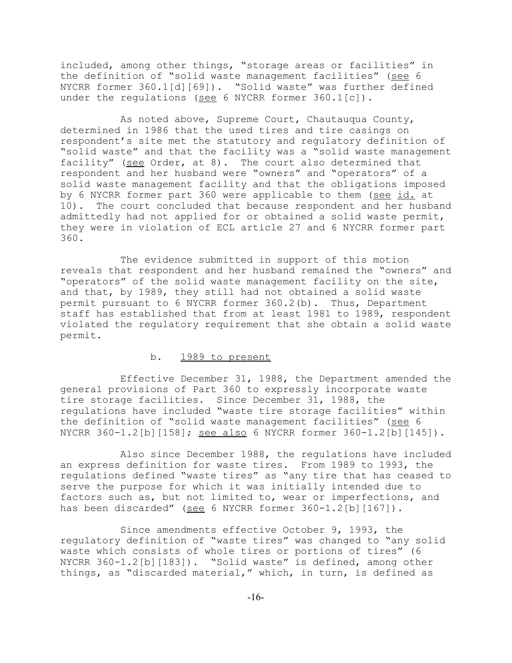included, among other things, "storage areas or facilities" in the definition of "solid waste management facilities" (see 6 NYCRR former 360.1[d][69]). "Solid waste" was further defined under the regulations (see 6 NYCRR former 360.1[c]).

As noted above, Supreme Court, Chautauqua County, determined in 1986 that the used tires and tire casings on respondent's site met the statutory and regulatory definition of "solid waste" and that the facility was a "solid waste management facility" (see Order, at 8). The court also determined that respondent and her husband were "owners" and "operators" of a solid waste management facility and that the obligations imposed by 6 NYCRR former part 360 were applicable to them (see id. at 10). The court concluded that because respondent and her husband admittedly had not applied for or obtained a solid waste permit, they were in violation of ECL article 27 and 6 NYCRR former part 360.

The evidence submitted in support of this motion reveals that respondent and her husband remained the "owners" and "operators" of the solid waste management facility on the site, and that, by 1989, they still had not obtained a solid waste permit pursuant to 6 NYCRR former 360.2(b). Thus, Department staff has established that from at least 1981 to 1989, respondent violated the regulatory requirement that she obtain a solid waste permit.

## b. 1989 to present

Effective December 31, 1988, the Department amended the general provisions of Part 360 to expressly incorporate waste tire storage facilities. Since December 31, 1988, the regulations have included "waste tire storage facilities" within the definition of "solid waste management facilities" (see 6 NYCRR 360-1.2[b][158]; see also 6 NYCRR former 360-1.2[b][145]).

Also since December 1988, the regulations have included an express definition for waste tires. From 1989 to 1993, the regulations defined "waste tires" as "any tire that has ceased to serve the purpose for which it was initially intended due to factors such as, but not limited to, wear or imperfections, and has been discarded" (see 6 NYCRR former 360-1.2[b][167]).

Since amendments effective October 9, 1993, the regulatory definition of "waste tires" was changed to "any solid waste which consists of whole tires or portions of tires" (6 NYCRR 360-1.2[b][183]). "Solid waste" is defined, among other things, as "discarded material," which, in turn, is defined as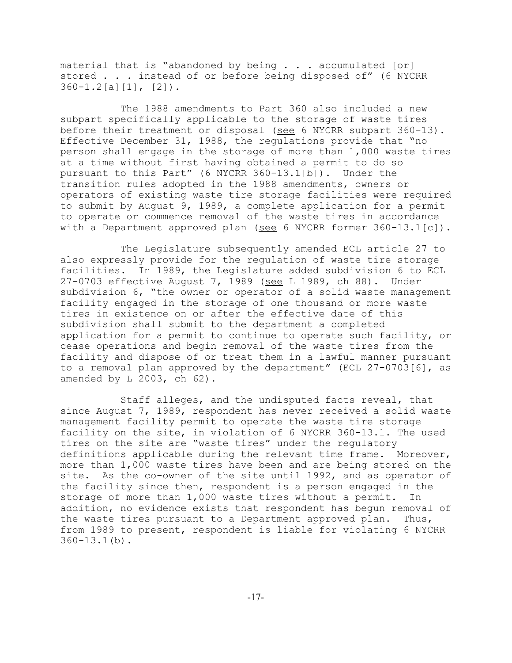material that is "abandoned by being  $\ldots$  accumulated [or] stored . . . instead of or before being disposed of" (6 NYCRR  $360 - 1.2[a][1], [2])$ .

The 1988 amendments to Part 360 also included a new subpart specifically applicable to the storage of waste tires before their treatment or disposal (see 6 NYCRR subpart 360-13). Effective December 31, 1988, the regulations provide that "no person shall engage in the storage of more than 1,000 waste tires at a time without first having obtained a permit to do so pursuant to this Part" (6 NYCRR 360-13.1[b]). Under the transition rules adopted in the 1988 amendments, owners or operators of existing waste tire storage facilities were required to submit by August 9, 1989, a complete application for a permit to operate or commence removal of the waste tires in accordance with a Department approved plan (see 6 NYCRR former  $360-13.1[c]$ ).

The Legislature subsequently amended ECL article 27 to also expressly provide for the regulation of waste tire storage facilities. In 1989, the Legislature added subdivision 6 to ECL 27-0703 effective August 7, 1989 (see L 1989, ch 88). Under subdivision 6, "the owner or operator of a solid waste management facility engaged in the storage of one thousand or more waste tires in existence on or after the effective date of this subdivision shall submit to the department a completed application for a permit to continue to operate such facility, or cease operations and begin removal of the waste tires from the facility and dispose of or treat them in a lawful manner pursuant to a removal plan approved by the department" (ECL 27-0703[6], as amended by L 2003, ch 62).

Staff alleges, and the undisputed facts reveal, that since August 7, 1989, respondent has never received a solid waste management facility permit to operate the waste tire storage facility on the site, in violation of 6 NYCRR 360-13.1. The used tires on the site are "waste tires" under the regulatory definitions applicable during the relevant time frame. Moreover, more than 1,000 waste tires have been and are being stored on the site. As the co-owner of the site until 1992, and as operator of the facility since then, respondent is a person engaged in the storage of more than 1,000 waste tires without a permit. In addition, no evidence exists that respondent has begun removal of the waste tires pursuant to a Department approved plan. Thus, from 1989 to present, respondent is liable for violating 6 NYCRR  $360 - 13.1$  (b).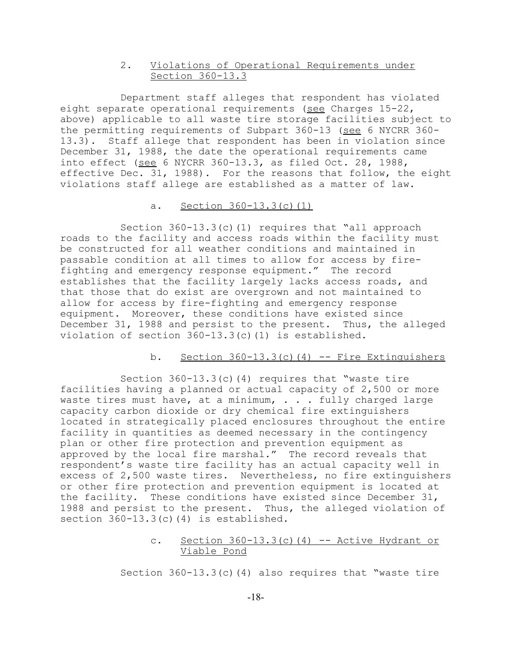# 2. Violations of Operational Requirements under Section 360-13.3

Department staff alleges that respondent has violated eight separate operational requirements (see Charges 15-22, above) applicable to all waste tire storage facilities subject to the permitting requirements of Subpart 360-13 (see 6 NYCRR 360- 13.3). Staff allege that respondent has been in violation since December 31, 1988, the date the operational requirements came into effect (see 6 NYCRR 360-13.3, as filed Oct. 28, 1988, effective Dec. 31, 1988). For the reasons that follow, the eight violations staff allege are established as a matter of law.

# a. Section 360-13.3(c)(1)

Section  $360-13.3(c)$  (1) requires that "all approach roads to the facility and access roads within the facility must be constructed for all weather conditions and maintained in passable condition at all times to allow for access by firefighting and emergency response equipment." The record establishes that the facility largely lacks access roads, and that those that do exist are overgrown and not maintained to allow for access by fire-fighting and emergency response equipment. Moreover, these conditions have existed since December 31, 1988 and persist to the present. Thus, the alleged violation of section 360-13.3(c)(1) is established.

# b. Section  $360-13.3(c)$  (4) -- Fire Extinguishers

Section 360-13.3(c)(4) requires that "waste tire facilities having a planned or actual capacity of 2,500 or more waste tires must have, at a minimum, . . . fully charged large capacity carbon dioxide or dry chemical fire extinguishers located in strategically placed enclosures throughout the entire facility in quantities as deemed necessary in the contingency plan or other fire protection and prevention equipment as approved by the local fire marshal." The record reveals that respondent's waste tire facility has an actual capacity well in excess of 2,500 waste tires. Nevertheless, no fire extinguishers or other fire protection and prevention equipment is located at the facility. These conditions have existed since December 31, 1988 and persist to the present. Thus, the alleged violation of section 360-13.3(c)(4) is established.

# c. Section  $360-13.3(c)$  (4) -- Active Hydrant or Viable Pond

Section  $360-13.3(c)$  (4) also requires that "waste tire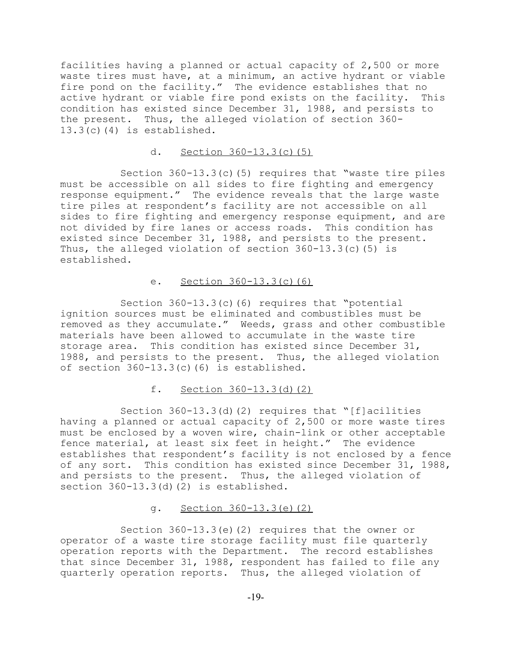facilities having a planned or actual capacity of 2,500 or more waste tires must have, at a minimum, an active hydrant or viable fire pond on the facility." The evidence establishes that no active hydrant or viable fire pond exists on the facility. This condition has existed since December 31, 1988, and persists to the present. Thus, the alleged violation of section 360- 13.3(c)(4) is established.

# d. Section 360-13.3(c)(5)

Section 360-13.3(c)(5) requires that "waste tire piles must be accessible on all sides to fire fighting and emergency response equipment." The evidence reveals that the large waste tire piles at respondent's facility are not accessible on all sides to fire fighting and emergency response equipment, and are not divided by fire lanes or access roads. This condition has existed since December 31, 1988, and persists to the present. Thus, the alleged violation of section 360-13.3(c)(5) is established.

# e. Section 360-13.3(c)(6)

Section 360-13.3(c)(6) requires that "potential ignition sources must be eliminated and combustibles must be removed as they accumulate." Weeds, grass and other combustible materials have been allowed to accumulate in the waste tire storage area. This condition has existed since December 31, 1988, and persists to the present. Thus, the alleged violation of section 360-13.3(c)(6) is established.

## f. Section 360-13.3(d)(2)

Section 360-13.3(d)(2) requires that "[f]acilities having a planned or actual capacity of 2,500 or more waste tires must be enclosed by a woven wire, chain-link or other acceptable fence material, at least six feet in height." The evidence establishes that respondent's facility is not enclosed by a fence of any sort. This condition has existed since December 31, 1988, and persists to the present. Thus, the alleged violation of section 360-13.3(d)(2) is established.

## g. Section 360-13.3(e)(2)

Section 360-13.3(e)(2) requires that the owner or operator of a waste tire storage facility must file quarterly operation reports with the Department. The record establishes that since December 31, 1988, respondent has failed to file any quarterly operation reports. Thus, the alleged violation of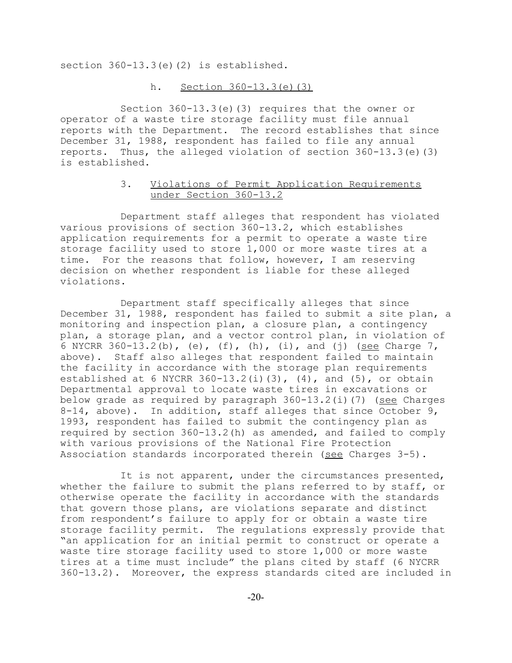section 360-13.3(e)(2) is established.

### h. Section 360-13.3(e)(3)

Section 360-13.3(e)(3) requires that the owner or operator of a waste tire storage facility must file annual reports with the Department. The record establishes that since December 31, 1988, respondent has failed to file any annual reports. Thus, the alleged violation of section 360-13.3(e)(3) is established.

# 3. Violations of Permit Application Requirements under Section 360-13.2

Department staff alleges that respondent has violated various provisions of section 360-13.2, which establishes application requirements for a permit to operate a waste tire storage facility used to store 1,000 or more waste tires at a time. For the reasons that follow, however, I am reserving decision on whether respondent is liable for these alleged violations.

Department staff specifically alleges that since December 31, 1988, respondent has failed to submit a site plan, a monitoring and inspection plan, a closure plan, a contingency plan, a storage plan, and a vector control plan, in violation of 6 NYCRR  $360-13.2(b)$ , (e), (f), (h), (i), and (j) (see Charge 7, above). Staff also alleges that respondent failed to maintain the facility in accordance with the storage plan requirements established at 6 NYCRR  $360-13.2(i)(3)$ ,  $(4)$ , and  $(5)$ , or obtain Departmental approval to locate waste tires in excavations or below grade as required by paragraph  $360-13.2(i)(7)$  (see Charges 8-14, above). In addition, staff alleges that since October 9, 1993, respondent has failed to submit the contingency plan as required by section 360-13.2(h) as amended, and failed to comply with various provisions of the National Fire Protection Association standards incorporated therein (see Charges  $3-5$ ).

It is not apparent, under the circumstances presented, whether the failure to submit the plans referred to by staff, or otherwise operate the facility in accordance with the standards that govern those plans, are violations separate and distinct from respondent's failure to apply for or obtain a waste tire storage facility permit. The regulations expressly provide that "an application for an initial permit to construct or operate a waste tire storage facility used to store 1,000 or more waste tires at a time must include" the plans cited by staff (6 NYCRR 360-13.2). Moreover, the express standards cited are included in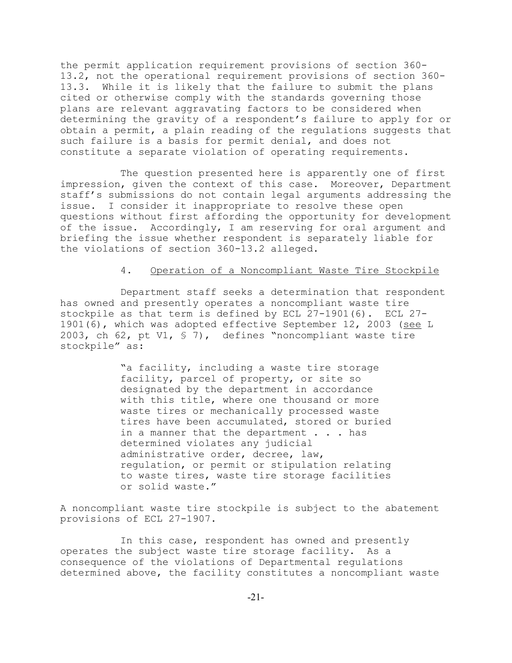the permit application requirement provisions of section 360- 13.2, not the operational requirement provisions of section 360- 13.3. While it is likely that the failure to submit the plans cited or otherwise comply with the standards governing those plans are relevant aggravating factors to be considered when determining the gravity of a respondent's failure to apply for or obtain a permit, a plain reading of the regulations suggests that such failure is a basis for permit denial, and does not constitute a separate violation of operating requirements.

The question presented here is apparently one of first impression, given the context of this case. Moreover, Department staff's submissions do not contain legal arguments addressing the issue. I consider it inappropriate to resolve these open questions without first affording the opportunity for development of the issue. Accordingly, I am reserving for oral argument and briefing the issue whether respondent is separately liable for the violations of section 360-13.2 alleged.

## 4. Operation of a Noncompliant Waste Tire Stockpile

Department staff seeks a determination that respondent has owned and presently operates a noncompliant waste tire stockpile as that term is defined by ECL 27-1901(6). ECL 27- 1901(6), which was adopted effective September 12, 2003 (see L 2003, ch 62, pt V1, § 7), defines "noncompliant waste tire stockpile" as:

> "a facility, including a waste tire storage facility, parcel of property, or site so designated by the department in accordance with this title, where one thousand or more waste tires or mechanically processed waste tires have been accumulated, stored or buried in a manner that the department . . . has determined violates any judicial administrative order, decree, law, regulation, or permit or stipulation relating to waste tires, waste tire storage facilities or solid waste."

A noncompliant waste tire stockpile is subject to the abatement provisions of ECL 27-1907.

In this case, respondent has owned and presently operates the subject waste tire storage facility. As a consequence of the violations of Departmental regulations determined above, the facility constitutes a noncompliant waste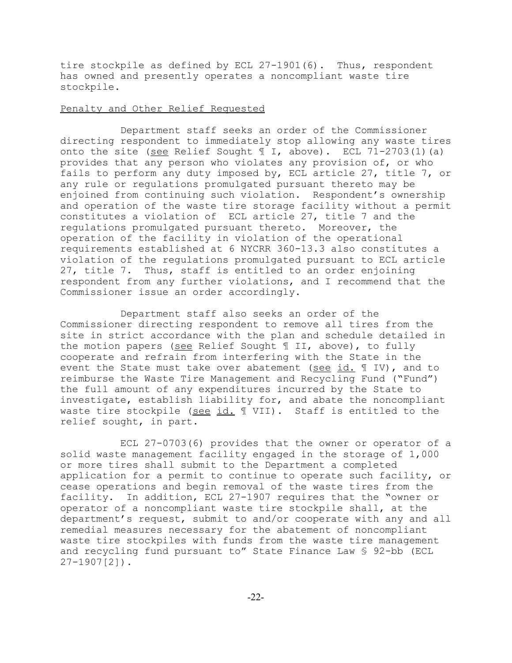tire stockpile as defined by ECL 27-1901(6). Thus, respondent has owned and presently operates a noncompliant waste tire stockpile.

### Penalty and Other Relief Requested

Department staff seeks an order of the Commissioner directing respondent to immediately stop allowing any waste tires onto the site (see Relief Sought ¶ I, above). ECL 71-2703(1)(a) provides that any person who violates any provision of, or who fails to perform any duty imposed by, ECL article 27, title 7, or any rule or regulations promulgated pursuant thereto may be enjoined from continuing such violation. Respondent's ownership and operation of the waste tire storage facility without a permit constitutes a violation of ECL article 27, title 7 and the regulations promulgated pursuant thereto. Moreover, the operation of the facility in violation of the operational requirements established at 6 NYCRR 360-13.3 also constitutes a violation of the regulations promulgated pursuant to ECL article 27, title 7. Thus, staff is entitled to an order enjoining respondent from any further violations, and I recommend that the Commissioner issue an order accordingly.

Department staff also seeks an order of the Commissioner directing respondent to remove all tires from the site in strict accordance with the plan and schedule detailed in the motion papers (see Relief Sought ¶ II, above), to fully cooperate and refrain from interfering with the State in the event the State must take over abatement (see id. ¶ IV), and to reimburse the Waste Tire Management and Recycling Fund ("Fund") the full amount of any expenditures incurred by the State to investigate, establish liability for, and abate the noncompliant waste tire stockpile (see id. 1 VII). Staff is entitled to the relief sought, in part.

ECL 27-0703(6) provides that the owner or operator of a solid waste management facility engaged in the storage of 1,000 or more tires shall submit to the Department a completed application for a permit to continue to operate such facility, or cease operations and begin removal of the waste tires from the facility. In addition, ECL 27-1907 requires that the "owner or operator of a noncompliant waste tire stockpile shall, at the department's request, submit to and/or cooperate with any and all remedial measures necessary for the abatement of noncompliant waste tire stockpiles with funds from the waste tire management and recycling fund pursuant to" State Finance Law § 92-bb (ECL 27-1907[2]).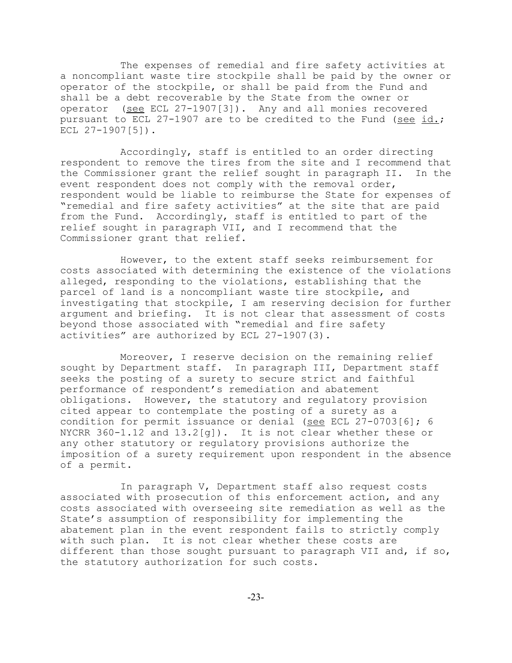The expenses of remedial and fire safety activities at a noncompliant waste tire stockpile shall be paid by the owner or operator of the stockpile, or shall be paid from the Fund and shall be a debt recoverable by the State from the owner or operator (see ECL 27-1907[3]). Any and all monies recovered pursuant to ECL 27-1907 are to be credited to the Fund (see id.; ECL  $27-1907$ [5]).

Accordingly, staff is entitled to an order directing respondent to remove the tires from the site and I recommend that the Commissioner grant the relief sought in paragraph II. In the event respondent does not comply with the removal order, respondent would be liable to reimburse the State for expenses of "remedial and fire safety activities" at the site that are paid from the Fund. Accordingly, staff is entitled to part of the relief sought in paragraph VII, and I recommend that the Commissioner grant that relief.

However, to the extent staff seeks reimbursement for costs associated with determining the existence of the violations alleged, responding to the violations, establishing that the parcel of land is a noncompliant waste tire stockpile, and investigating that stockpile, I am reserving decision for further argument and briefing. It is not clear that assessment of costs beyond those associated with "remedial and fire safety activities" are authorized by ECL 27-1907(3).

Moreover, I reserve decision on the remaining relief sought by Department staff. In paragraph III, Department staff seeks the posting of a surety to secure strict and faithful performance of respondent's remediation and abatement obligations. However, the statutory and regulatory provision cited appear to contemplate the posting of a surety as a condition for permit issuance or denial (see ECL 27-0703[6]; 6 NYCRR 360-1.12 and 13.2[g]). It is not clear whether these or any other statutory or regulatory provisions authorize the imposition of a surety requirement upon respondent in the absence of a permit.

In paragraph V, Department staff also request costs associated with prosecution of this enforcement action, and any costs associated with overseeing site remediation as well as the State's assumption of responsibility for implementing the abatement plan in the event respondent fails to strictly comply with such plan. It is not clear whether these costs are different than those sought pursuant to paragraph VII and, if so, the statutory authorization for such costs.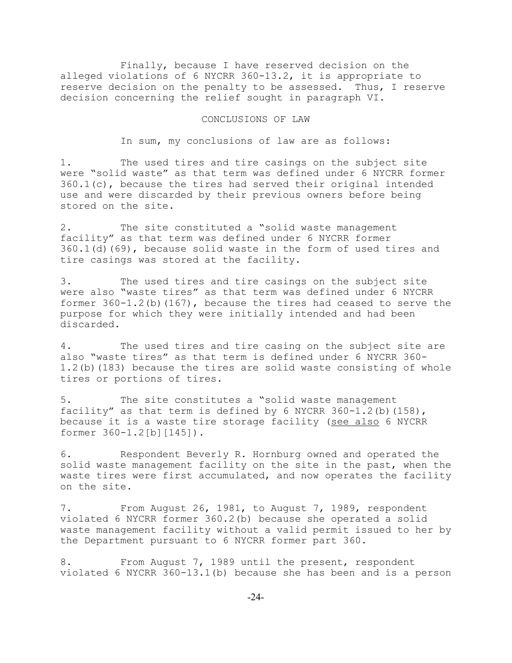Finally, because I have reserved decision on the alleged violations of 6 NYCRR 360-13.2, it is appropriate to reserve decision on the penalty to be assessed. Thus, I reserve decision concerning the relief sought in paragraph VI.

#### CONCLUSIONS OF LAW

In sum, my conclusions of law are as follows:

1. The used tires and tire casings on the subject site were "solid waste" as that term was defined under 6 NYCRR former 360.1(c), because the tires had served their original intended use and were discarded by their previous owners before being stored on the site.

2. The site constituted a "solid waste management facility" as that term was defined under 6 NYCRR former 360.1(d)(69), because solid waste in the form of used tires and tire casings was stored at the facility.

3. The used tires and tire casings on the subject site were also "waste tires" as that term was defined under 6 NYCRR former 360-1.2(b)(167), because the tires had ceased to serve the purpose for which they were initially intended and had been discarded.

4. The used tires and tire casing on the subject site are also "waste tires" as that term is defined under 6 NYCRR 360- 1.2(b)(183) because the tires are solid waste consisting of whole tires or portions of tires.

5. The site constitutes a "solid waste management facility" as that term is defined by 6 NYCRR 360-1.2(b)(158), because it is a waste tire storage facility (see also 6 NYCRR former 360-1.2[b][145]).

6. Respondent Beverly R. Hornburg owned and operated the solid waste management facility on the site in the past, when the waste tires were first accumulated, and now operates the facility on the site.

7. From August 26, 1981, to August 7, 1989, respondent violated 6 NYCRR former 360.2(b) because she operated a solid waste management facility without a valid permit issued to her by the Department pursuant to 6 NYCRR former part 360.

8. From August 7, 1989 until the present, respondent violated 6 NYCRR 360-13.1(b) because she has been and is a person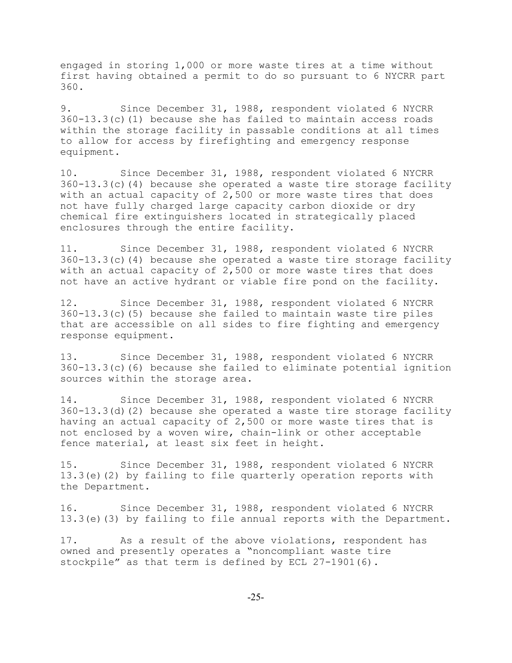engaged in storing 1,000 or more waste tires at a time without first having obtained a permit to do so pursuant to 6 NYCRR part 360.

9. Since December 31, 1988, respondent violated 6 NYCRR  $360-13.3(c)$  (1) because she has failed to maintain access roads within the storage facility in passable conditions at all times to allow for access by firefighting and emergency response equipment.

10. Since December 31, 1988, respondent violated 6 NYCRR 360-13.3(c)(4) because she operated a waste tire storage facility with an actual capacity of 2,500 or more waste tires that does not have fully charged large capacity carbon dioxide or dry chemical fire extinguishers located in strategically placed enclosures through the entire facility.

11. Since December 31, 1988, respondent violated 6 NYCRR  $360-13.3(c)$  (4) because she operated a waste tire storage facility with an actual capacity of 2,500 or more waste tires that does not have an active hydrant or viable fire pond on the facility.

12. Since December 31, 1988, respondent violated 6 NYCRR 360-13.3(c)(5) because she failed to maintain waste tire piles that are accessible on all sides to fire fighting and emergency response equipment.

13. Since December 31, 1988, respondent violated 6 NYCRR 360-13.3(c)(6) because she failed to eliminate potential ignition sources within the storage area.

14. Since December 31, 1988, respondent violated 6 NYCRR 360-13.3(d)(2) because she operated a waste tire storage facility having an actual capacity of 2,500 or more waste tires that is not enclosed by a woven wire, chain-link or other acceptable fence material, at least six feet in height.

15. Since December 31, 1988, respondent violated 6 NYCRR 13.3(e)(2) by failing to file quarterly operation reports with the Department.

16. Since December 31, 1988, respondent violated 6 NYCRR 13.3(e)(3) by failing to file annual reports with the Department.

17. As a result of the above violations, respondent has owned and presently operates a "noncompliant waste tire stockpile" as that term is defined by ECL 27-1901(6).